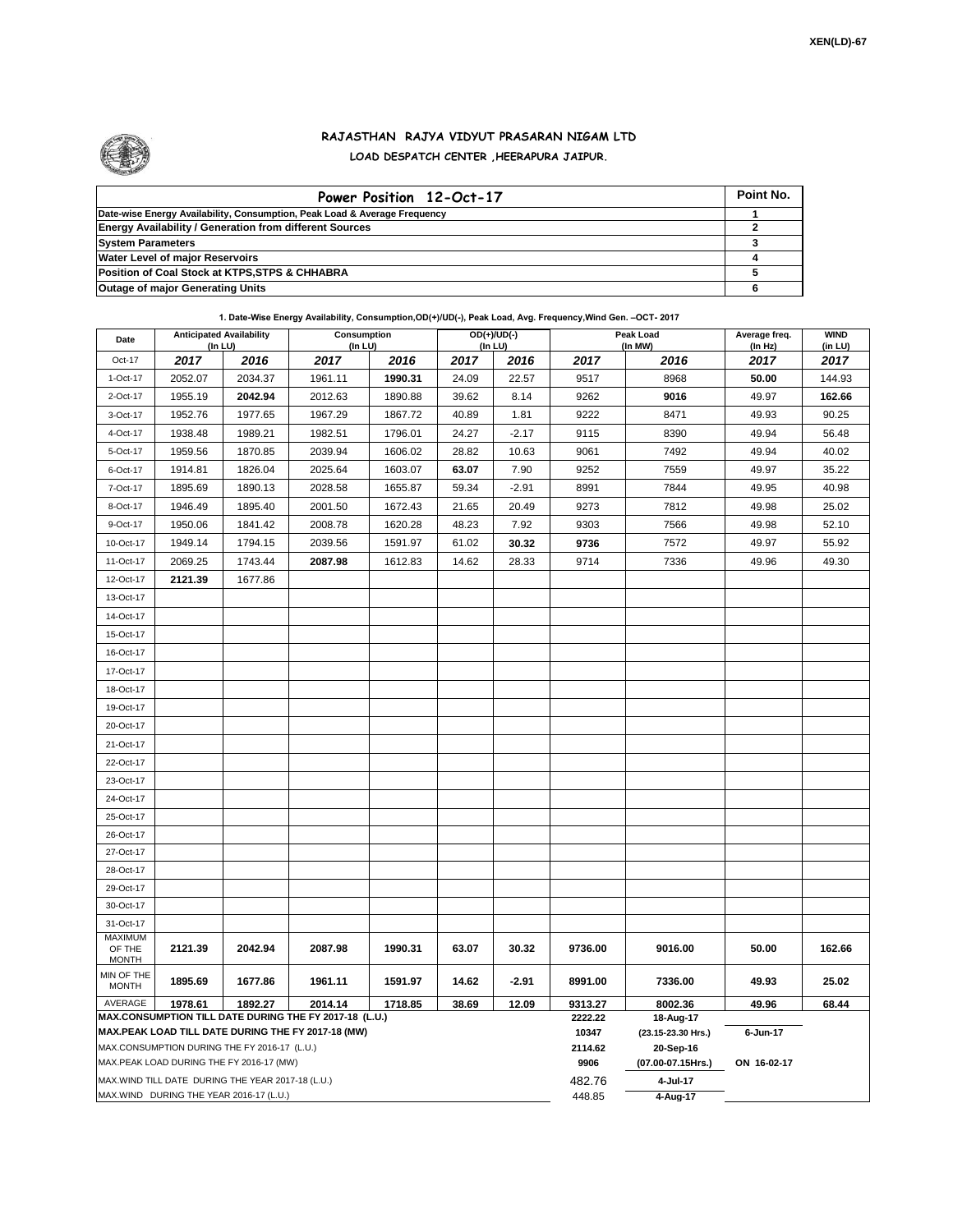

## **RAJASTHAN RAJYA VIDYUT PRASARAN NIGAM LTD LOAD DESPATCH CENTER ,HEERAPURA JAIPUR.**

| Power Position 12-Oct-17                                                  | Point No. |
|---------------------------------------------------------------------------|-----------|
| Date-wise Energy Availability, Consumption, Peak Load & Average Frequency |           |
| <b>Energy Availability / Generation from different Sources</b>            |           |
| <b>System Parameters</b>                                                  |           |
| <b>Water Level of major Reservoirs</b>                                    |           |
| Position of Coal Stock at KTPS, STPS & CHHABRA                            |           |
| <b>Outage of major Generating Units</b>                                   |           |

**1. Date-Wise Energy Availability, Consumption,OD(+)/UD(-), Peak Load, Avg. Frequency,Wind Gen. –OCT- 2017**

| Date                                                                                                         | <b>Anticipated Availability</b><br>$($ In LU $)$           |         | Consumption<br>$($ In LU $)$ |         | $OD(+)/UD(-)$<br>(In LU) |         |                   | Peak Load<br>(In MW)            | Average freq.<br>(In Hz) | <b>WIND</b><br>(in LU) |  |
|--------------------------------------------------------------------------------------------------------------|------------------------------------------------------------|---------|------------------------------|---------|--------------------------|---------|-------------------|---------------------------------|--------------------------|------------------------|--|
| Oct-17                                                                                                       | 2017                                                       | 2016    | 2017                         | 2016    | 2017                     | 2016    | 2017              | 2016                            | 2017                     | 2017                   |  |
| 1-Oct-17                                                                                                     | 2052.07                                                    | 2034.37 | 1961.11                      | 1990.31 | 24.09                    | 22.57   | 9517              | 8968                            | 50.00                    | 144.93                 |  |
| 2-Oct-17                                                                                                     | 1955.19                                                    | 2042.94 | 2012.63                      | 1890.88 | 39.62                    | 8.14    | 9262              | 9016                            | 49.97                    | 162.66                 |  |
| 3-Oct-17                                                                                                     | 1952.76                                                    | 1977.65 | 1967.29                      | 1867.72 | 40.89                    | 1.81    | 9222              | 8471                            | 49.93                    | 90.25                  |  |
| 4-Oct-17                                                                                                     | 1938.48                                                    | 1989.21 | 1982.51                      | 1796.01 | 24.27                    | $-2.17$ | 9115              | 8390                            | 49.94                    | 56.48                  |  |
| 5-Oct-17                                                                                                     | 1959.56                                                    | 1870.85 | 2039.94                      | 1606.02 | 28.82                    | 10.63   | 9061              | 7492                            | 49.94                    | 40.02                  |  |
| 6-Oct-17                                                                                                     | 1914.81                                                    | 1826.04 | 2025.64                      | 1603.07 | 63.07                    | 7.90    | 9252              | 7559                            | 49.97                    | 35.22                  |  |
| 7-Oct-17                                                                                                     | 1895.69                                                    | 1890.13 | 2028.58                      | 1655.87 | 59.34                    | $-2.91$ | 8991              | 7844                            | 49.95                    | 40.98                  |  |
| 8-Oct-17                                                                                                     | 1946.49                                                    | 1895.40 | 2001.50                      | 1672.43 | 21.65                    | 20.49   | 9273              | 7812                            | 49.98                    | 25.02                  |  |
| 9-Oct-17                                                                                                     | 1950.06                                                    | 1841.42 | 2008.78                      | 1620.28 | 48.23                    | 7.92    | 9303              | 7566                            | 49.98                    | 52.10                  |  |
| 10-Oct-17                                                                                                    | 1949.14                                                    | 1794.15 | 2039.56                      | 1591.97 | 61.02                    | 30.32   | 9736              | 7572                            | 49.97                    | 55.92                  |  |
| 11-Oct-17                                                                                                    | 2069.25                                                    | 1743.44 | 2087.98                      | 1612.83 | 14.62                    | 28.33   | 9714              | 7336                            | 49.96                    | 49.30                  |  |
| 12-Oct-17                                                                                                    | 2121.39                                                    | 1677.86 |                              |         |                          |         |                   |                                 |                          |                        |  |
| 13-Oct-17                                                                                                    |                                                            |         |                              |         |                          |         |                   |                                 |                          |                        |  |
| 14-Oct-17                                                                                                    |                                                            |         |                              |         |                          |         |                   |                                 |                          |                        |  |
| 15-Oct-17                                                                                                    |                                                            |         |                              |         |                          |         |                   |                                 |                          |                        |  |
| 16-Oct-17                                                                                                    |                                                            |         |                              |         |                          |         |                   |                                 |                          |                        |  |
| 17-Oct-17                                                                                                    |                                                            |         |                              |         |                          |         |                   |                                 |                          |                        |  |
| 18-Oct-17                                                                                                    |                                                            |         |                              |         |                          |         |                   |                                 |                          |                        |  |
| 19-Oct-17                                                                                                    |                                                            |         |                              |         |                          |         |                   |                                 |                          |                        |  |
| 20-Oct-17                                                                                                    |                                                            |         |                              |         |                          |         |                   |                                 |                          |                        |  |
| 21-Oct-17                                                                                                    |                                                            |         |                              |         |                          |         |                   |                                 |                          |                        |  |
| 22-Oct-17                                                                                                    |                                                            |         |                              |         |                          |         |                   |                                 |                          |                        |  |
| 23-Oct-17                                                                                                    |                                                            |         |                              |         |                          |         |                   |                                 |                          |                        |  |
| 24-Oct-17                                                                                                    |                                                            |         |                              |         |                          |         |                   |                                 |                          |                        |  |
| 25-Oct-17                                                                                                    |                                                            |         |                              |         |                          |         |                   |                                 |                          |                        |  |
| 26-Oct-17                                                                                                    |                                                            |         |                              |         |                          |         |                   |                                 |                          |                        |  |
| 27-Oct-17                                                                                                    |                                                            |         |                              |         |                          |         |                   |                                 |                          |                        |  |
| 28-Oct-17                                                                                                    |                                                            |         |                              |         |                          |         |                   |                                 |                          |                        |  |
| 29-Oct-17                                                                                                    |                                                            |         |                              |         |                          |         |                   |                                 |                          |                        |  |
| 30-Oct-17                                                                                                    |                                                            |         |                              |         |                          |         |                   |                                 |                          |                        |  |
| 31-Oct-17                                                                                                    |                                                            |         |                              |         |                          |         |                   |                                 |                          |                        |  |
| <b>MAXIMUM</b><br>OF THE<br><b>MONTH</b>                                                                     | 2121.39                                                    | 2042.94 | 2087.98                      | 1990.31 | 63.07                    | 30.32   | 9736.00           | 9016.00                         | 50.00                    | 162.66                 |  |
| MIN OF THE<br><b>MONTH</b>                                                                                   | 1895.69                                                    | 1677.86 | 1961.11                      | 1591.97 | 14.62                    | $-2.91$ | 8991.00           | 7336.00                         | 49.93                    | 25.02                  |  |
| AVERAGE                                                                                                      | 1978.61<br>1892.27<br>2014.14<br>1718.85<br>38.69<br>12.09 |         |                              |         |                          |         | 9313.27           | 8002.36                         | 49.96                    | 68.44                  |  |
| MAX.CONSUMPTION TILL DATE DURING THE FY 2017-18 (L.U.)<br>MAX.PEAK LOAD TILL DATE DURING THE FY 2017-18 (MW) |                                                            |         |                              |         |                          | 2222.22 | 18-Aug-17         |                                 |                          |                        |  |
| MAX.CONSUMPTION DURING THE FY 2016-17 (L.U.)                                                                 |                                                            |         |                              |         |                          |         | 10347<br>2114.62  | (23.15-23.30 Hrs.)<br>20-Sep-16 | 6-Jun-17                 |                        |  |
| MAX.PEAK LOAD DURING THE FY 2016-17 (MW)                                                                     |                                                            |         |                              |         |                          | 9906    | (07.00-07.15Hrs.) | ON 16-02-17                     |                          |                        |  |
|                                                                                                              | MAX. WIND TILL DATE DURING THE YEAR 2017-18 (L.U.)         |         |                              |         |                          |         | 482.76            | 4-Jul-17                        |                          |                        |  |
| MAX.WIND DURING THE YEAR 2016-17 (L.U.)                                                                      |                                                            |         |                              |         |                          |         | 448.85            | 4-Aug-17                        |                          |                        |  |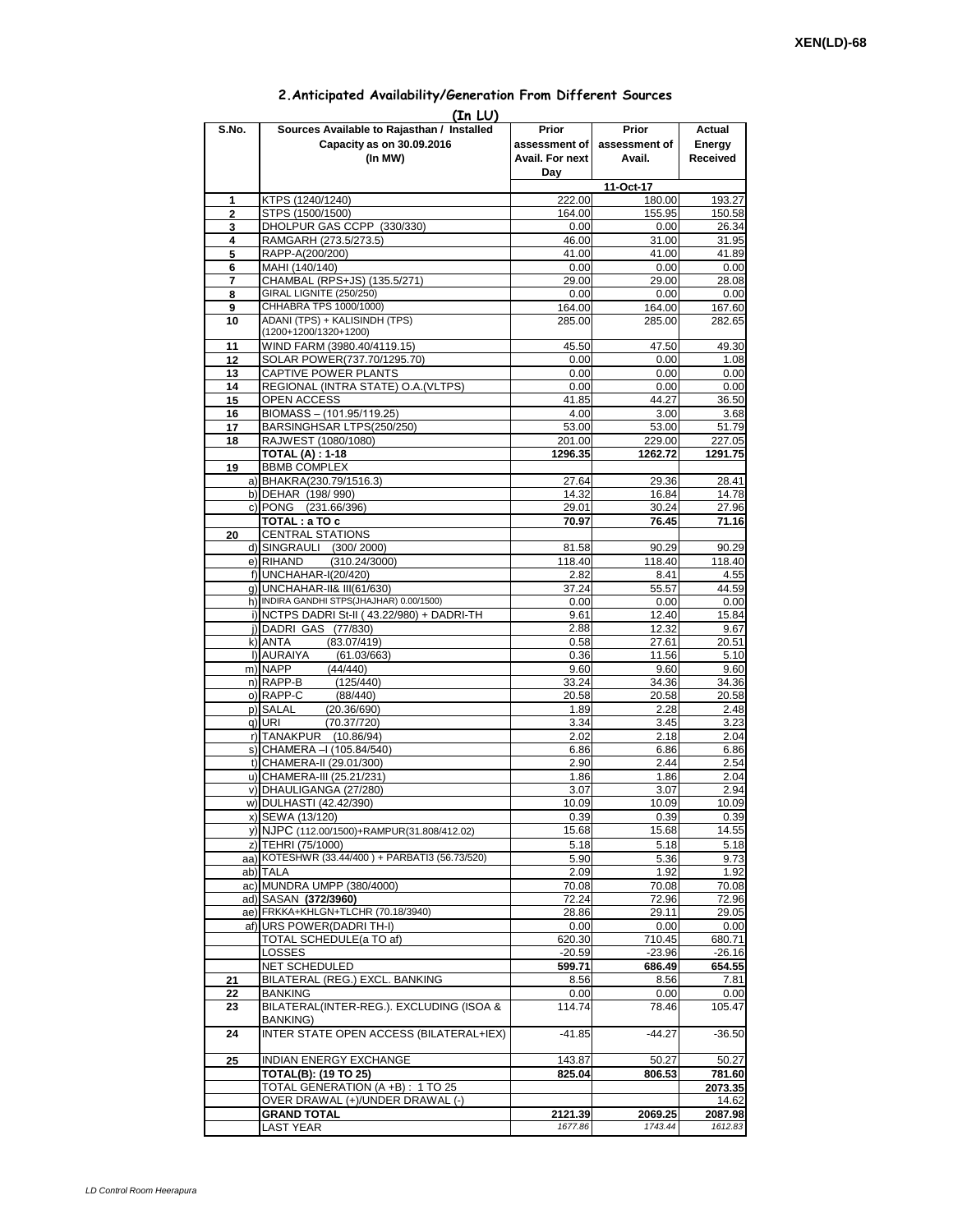|  | 2. Anticipated Availability/Generation From Different Sources |  |  |  |
|--|---------------------------------------------------------------|--|--|--|
|--|---------------------------------------------------------------|--|--|--|

| (In LU)        |                                                                                    |                                 |                                                |                              |  |  |  |  |  |  |
|----------------|------------------------------------------------------------------------------------|---------------------------------|------------------------------------------------|------------------------------|--|--|--|--|--|--|
| S.No.          | Sources Available to Rajasthan / Installed<br>Capacity as on 30.09.2016<br>(In MW) | Prior<br>Avail. For next<br>Day | Prior<br>assessment of assessment of<br>Avail. | Actual<br>Energy<br>Received |  |  |  |  |  |  |
|                |                                                                                    |                                 | 11-Oct-17                                      |                              |  |  |  |  |  |  |
| 1              | KTPS (1240/1240)                                                                   | 222.00                          | 180.00                                         | 193.27                       |  |  |  |  |  |  |
| $\overline{2}$ | STPS (1500/1500)                                                                   | 164.00                          | 155.95                                         | 150.58                       |  |  |  |  |  |  |
| 3              | DHOLPUR GAS CCPP (330/330)                                                         | 0.00                            | 0.00                                           | 26.34                        |  |  |  |  |  |  |
| 4              | RAMGARH (273.5/273.5)                                                              | 46.00                           | 31.00                                          | 31.95                        |  |  |  |  |  |  |
| 5              | RAPP-A(200/200)                                                                    | 41.00                           | 41.00                                          | 41.89                        |  |  |  |  |  |  |
| 6              | MAHI (140/140)                                                                     | 0.00                            | 0.00                                           | 0.00                         |  |  |  |  |  |  |
| 7<br>8         | CHAMBAL (RPS+JS) (135.5/271)<br><b>GIRAL LIGNITE (250/250)</b>                     | 29.00<br>0.00                   | 29.00<br>0.00                                  | 28.08<br>0.00                |  |  |  |  |  |  |
| 9              | CHHABRA TPS 1000/1000)                                                             | 164.00                          | 164.00                                         | 167.60                       |  |  |  |  |  |  |
| 10             | ADANI (TPS) + KALISINDH (TPS)                                                      | 285.00                          | 285.00                                         | 282.65                       |  |  |  |  |  |  |
| 11             | (1200+1200/1320+1200)<br>WIND FARM (3980.40/4119.15)                               | 45.50                           | 47.50                                          | 49.30                        |  |  |  |  |  |  |
| 12             | SOLAR POWER(737.70/1295.70)                                                        | 0.00                            | 0.00                                           | 1.08                         |  |  |  |  |  |  |
| 13             | <b>CAPTIVE POWER PLANTS</b>                                                        | 0.00                            | 0.00                                           | 0.00                         |  |  |  |  |  |  |
| 14             | REGIONAL (INTRA STATE) O.A. (VLTPS)                                                | 0.00                            | 0.00                                           | 0.00                         |  |  |  |  |  |  |
| 15             | OPEN ACCESS                                                                        | 41.85                           | 44.27                                          | 36.50                        |  |  |  |  |  |  |
| 16             | BIOMASS - (101.95/119.25)                                                          | 4.00                            | 3.00                                           | 3.68                         |  |  |  |  |  |  |
| 17             | BARSINGHSAR LTPS(250/250)                                                          | 53.00                           | 53.00                                          | 51.79                        |  |  |  |  |  |  |
| 18             | RAJWEST (1080/1080)<br><b>TOTAL (A): 1-18</b>                                      | 201.00<br>1296.35               | 229.00<br>1262.72                              | 227.05<br>1291.75            |  |  |  |  |  |  |
| 19             | <b>BBMB COMPLEX</b>                                                                |                                 |                                                |                              |  |  |  |  |  |  |
|                | a) BHAKRA(230.79/1516.3)                                                           | 27.64                           | 29.36                                          | 28.41                        |  |  |  |  |  |  |
|                | b) DEHAR (198/990)                                                                 | 14.32                           | 16.84                                          | 14.78                        |  |  |  |  |  |  |
|                | c) PONG (231.66/396)                                                               | 29.01                           | 30.24                                          | 27.96                        |  |  |  |  |  |  |
|                | TOTAL: a TO c                                                                      | 70.97                           | 76.45                                          | 71.16                        |  |  |  |  |  |  |
| 20             | <b>CENTRAL STATIONS</b><br>d) SINGRAULI (300/2000)                                 | 81.58                           | 90.29                                          | 90.29                        |  |  |  |  |  |  |
|                | e) RIHAND<br>(310.24/3000)                                                         | 118.40                          | 118.40                                         | 118.40                       |  |  |  |  |  |  |
|                | f) UNCHAHAR-I(20/420)                                                              | 2.82                            | 8.41                                           | 4.55                         |  |  |  |  |  |  |
|                | g) UNCHAHAR-II& III(61/630)                                                        | 37.24                           | 55.57                                          | 44.59                        |  |  |  |  |  |  |
|                | h) INDIRA GANDHI STPS(JHAJHAR) 0.00/1500)                                          | 0.00                            | 0.00                                           | 0.00                         |  |  |  |  |  |  |
|                | i) NCTPS DADRI St-II (43.22/980) + DADRI-TH                                        | 9.61                            | 12.40                                          | 15.84                        |  |  |  |  |  |  |
|                | j) DADRI GAS (77/830)                                                              | 2.88                            | 12.32                                          | 9.67                         |  |  |  |  |  |  |
|                | (83.07/419)<br>k) ANTA<br>I) AURAIYA<br>(61.03/663)                                | 0.58<br>0.36                    | 27.61<br>11.56                                 | 20.51<br>5.10                |  |  |  |  |  |  |
|                | m) NAPP<br>(44/440)                                                                | 9.60                            | 9.60                                           | 9.60                         |  |  |  |  |  |  |
|                | n) RAPP-B<br>(125/440)                                                             | 33.24                           | 34.36                                          | 34.36                        |  |  |  |  |  |  |
|                | o) RAPP-C<br>(88/440)                                                              | 20.58                           | 20.58                                          | 20.58                        |  |  |  |  |  |  |
|                | p) SALAL<br>(20.36/690)                                                            | 1.89                            | 2.28                                           | 2.48                         |  |  |  |  |  |  |
|                | q) URI<br>(70.37/720)                                                              | 3.34                            | 3.45                                           | 3.23                         |  |  |  |  |  |  |
|                | r) TANAKPUR (10.86/94)<br>s) CHAMERA - (105.84/540)                                | 2.02<br>6.86                    | 2.18<br>6.86                                   | 2.04<br>6.86                 |  |  |  |  |  |  |
|                | t) CHAMERA-II (29.01/300)                                                          | 2.90                            | 2.44                                           | 2.54                         |  |  |  |  |  |  |
|                | u) CHAMERA-III (25.21/231)                                                         | 1.86                            | 1.86                                           | 2.04                         |  |  |  |  |  |  |
|                | v) DHAULIGANGA (27/280)                                                            | 3.07                            | 3.07                                           | 2.94                         |  |  |  |  |  |  |
|                | w) DULHASTI (42.42/390)                                                            | 10.09                           | 10.09                                          | 10.09                        |  |  |  |  |  |  |
|                | x) SEWA (13/120)                                                                   | 0.39                            | 0.39                                           | 0.39                         |  |  |  |  |  |  |
|                | y) NJPC (112.00/1500)+RAMPUR(31.808/412.02)                                        | 15.68                           | 15.68                                          | 14.55                        |  |  |  |  |  |  |
|                | z) TEHRI (75/1000)<br>aa) KOTESHWR (33.44/400) + PARBATI3 (56.73/520)              | 5.18                            | 5.18                                           | 5.18                         |  |  |  |  |  |  |
|                | ab) TALA                                                                           | 5.90<br>2.09                    | 5.36<br>1.92                                   | 9.73<br>1.92                 |  |  |  |  |  |  |
|                | ac) MUNDRA UMPP (380/4000)                                                         | 70.08                           | 70.08                                          | 70.08                        |  |  |  |  |  |  |
|                | ad) SASAN (372/3960)                                                               | 72.24                           | 72.96                                          | 72.96                        |  |  |  |  |  |  |
|                | ae) FRKKA+KHLGN+TLCHR (70.18/3940)                                                 | 28.86                           | 29.11                                          | 29.05                        |  |  |  |  |  |  |
|                | af) URS POWER (DADRI TH-I)                                                         | 0.00                            | 0.00                                           | 0.00                         |  |  |  |  |  |  |
|                | TOTAL SCHEDULE(a TO af)                                                            | 620.30                          | 710.45                                         | 680.71                       |  |  |  |  |  |  |
|                | LOSSES<br>NET SCHEDULED                                                            | $-20.59$<br>599.71              | $-23.96$<br>686.49                             | $-26.16$<br>654.55           |  |  |  |  |  |  |
| 21             | BILATERAL (REG.) EXCL. BANKING                                                     | 8.56                            | 8.56                                           | 7.81                         |  |  |  |  |  |  |
| 22             | <b>BANKING</b>                                                                     | 0.00                            | 0.00                                           | 0.00                         |  |  |  |  |  |  |
| 23             | BILATERAL(INTER-REG.). EXCLUDING (ISOA &                                           | 114.74                          | 78.46                                          | 105.47                       |  |  |  |  |  |  |
| 24             | BANKING)<br>INTER STATE OPEN ACCESS (BILATERAL+IEX)                                | $-41.85$                        | $-44.27$                                       | $-36.50$                     |  |  |  |  |  |  |
| 25             | INDIAN ENERGY EXCHANGE                                                             | 143.87                          | 50.27                                          | 50.27                        |  |  |  |  |  |  |
|                | TOTAL(B): (19 TO 25)                                                               | 825.04                          | 806.53                                         | 781.60                       |  |  |  |  |  |  |
|                | TOTAL GENERATION (A +B) : 1 TO 25                                                  |                                 |                                                | 2073.35                      |  |  |  |  |  |  |
|                | OVER DRAWAL (+)/UNDER DRAWAL (-)                                                   |                                 |                                                | 14.62                        |  |  |  |  |  |  |
|                | <b>GRAND TOTAL</b>                                                                 | 2121.39                         | 2069.25                                        | 2087.98                      |  |  |  |  |  |  |
|                | <b>LAST YEAR</b>                                                                   | 1677.86                         | 1743.44                                        | 1612.83                      |  |  |  |  |  |  |